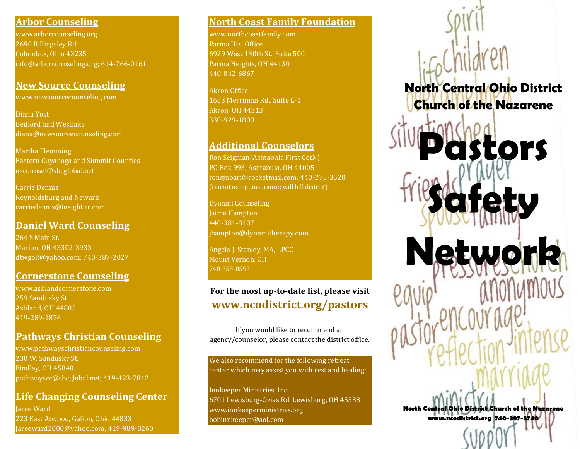#### **Arbor Counseling**

www.arborcounseling.org 2690 Billingsley Rd. Columbus, Ohio 43235 info@arborcounseling.org; 614-766-0161

#### **New Source Counseling**

www.newsourcecounseling.com

Diana Yost Bedford and Westlake diana@newsourcecounseling.com

Martha Flemming Eastern Cuyahoga and Summit Counties nscounsel@sbcglobal.net

Carrie Dennis Reynoldsburg and Newark carriedennis@insight.rr.com

#### **Daniel Ward Counseling**

264 S Main St. Marion, OH 43302-3933 dtwgolf@yahoo.com; 740-387-2027

#### **Cornerstone Counseling**

www.ashlandcornerstone.com 259 Sandusky St. Ashland, OH 44805 419-289-1876

## **Pathways Christian Counseling**

www.pathwayschristiancounseling.com 230 W. Sandusky St. Findlay, OH 45840 pathwayscc@sbcglobal.net; 419-423-7812

#### **Life Changing Counseling Center**

Jaree Ward 223 East Atwood, Galion, Ohio 44833 Jareeward2000@yahoo.com; 419-989-8260

#### **North Coast Family Foundation**

www.northcoastfamily.com Parma Hts. Office 6929 West 130th St., Suite 500 Parma Heights, OH 44130 440-842-6867

Akron Office 1653 Merriman Rd., Suite L-1 Akron, OH 44313 330-929-1800

### **Additional Counselors**

Ron Seigman(Ashtabula First CotN) PO Box 993, Ashtabula, OH 44005 ronsjubari@rocketmail.com; 440-275-3520 (cannot accept insurance; will bill district)

Dynami Counseling Jaime Hampton 440-381-8107 jhampton@dynamitherapy.com

Angela J. Stanley, MA, LPCC Mount Vernon, OH 740-358-0593

# **For the most up-to-date list, please visit www.ncodistrict.org/pastors**

If you would like to recommend an agency/counselor, please contact the district office.

We also recommend for the following retreat center which may assist you with rest and healing:

Innkeeper Ministries, Inc. 6701 Lewisburg-Ozias Rd, Lewisburg, OH 45338 www.innkeeperministries.org bobinnkeeper@aol.com